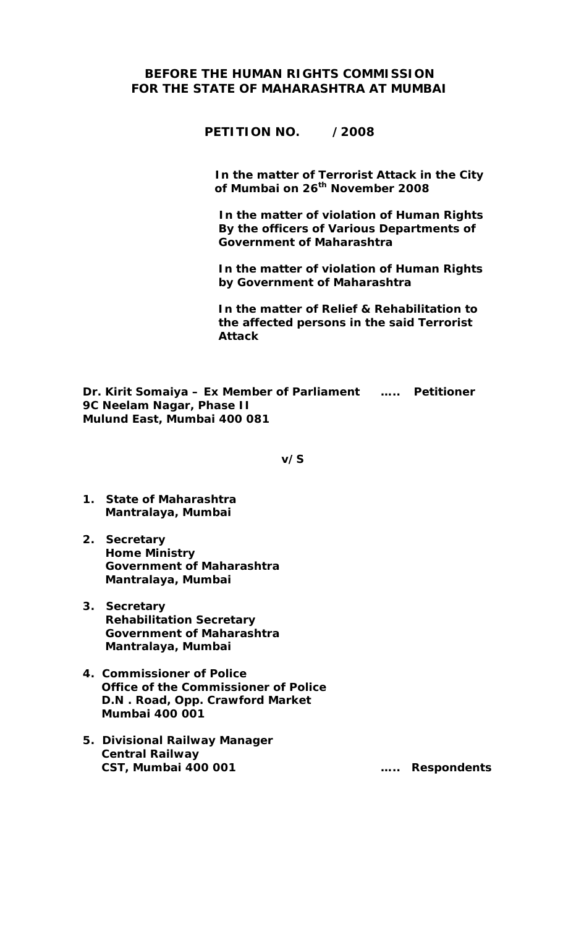## **BEFORE THE HUMAN RIGHTS COMMISSION FOR THE STATE OF MAHARASHTRA AT MUMBAI**

**PETITION NO. /2008** 

 **In the matter of Terrorist Attack in the City of Mumbai on 26th November 2008** 

 **In the matter of violation of Human Rights By the officers of Various Departments of Government of Maharashtra** 

 **In the matter of violation of Human Rights by Government of Maharashtra** 

 **In the matter of Relief & Rehabilitation to the affected persons in the said Terrorist Attack** 

**Dr. Kirit Somaiya – Ex Member of Parliament ….. Petitioner 9C Neelam Nagar, Phase II Mulund East, Mumbai 400 081** 

 **v/S** 

- **1. State of Maharashtra Mantralaya, Mumbai**
- **2. Secretary Home Ministry Government of Maharashtra Mantralaya, Mumbai**
- **3. Secretary Rehabilitation Secretary Government of Maharashtra Mantralaya, Mumbai**
- **4. Commissioner of Police Office of the Commissioner of Police D.N . Road, Opp. Crawford Market Mumbai 400 001**
- **5. Divisional Railway Manager Central Railway CST, Mumbai 400 001 ….. Respondents**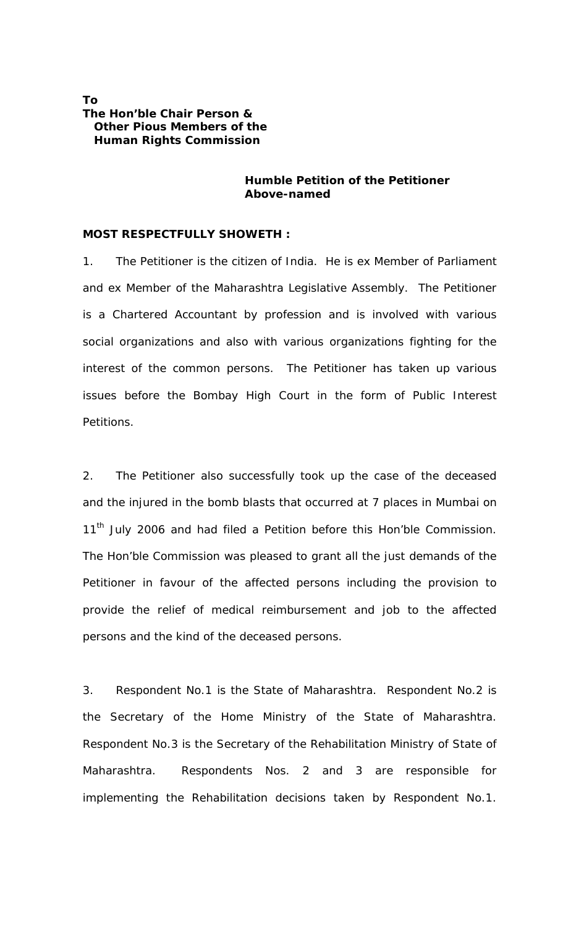#### **To The Hon'ble Chair Person & Other Pious Members of the Human Rights Commission**

#### **Humble Petition of the Petitioner Above-named**

#### **MOST RESPECTFULLY SHOWETH :**

1. The Petitioner is the citizen of India. He is ex Member of Parliament and ex Member of the Maharashtra Legislative Assembly. The Petitioner is a Chartered Accountant by profession and is involved with various social organizations and also with various organizations fighting for the interest of the common persons. The Petitioner has taken up various issues before the Bombay High Court in the form of Public Interest Petitions.

2. The Petitioner also successfully took up the case of the deceased and the injured in the bomb blasts that occurred at 7 places in Mumbai on 11<sup>th</sup> July 2006 and had filed a Petition before this Hon'ble Commission. The Hon'ble Commission was pleased to grant all the just demands of the Petitioner in favour of the affected persons including the provision to provide the relief of medical reimbursement and job to the affected persons and the kind of the deceased persons.

3. Respondent No.1 is the State of Maharashtra. Respondent No.2 is the Secretary of the Home Ministry of the State of Maharashtra. Respondent No.3 is the Secretary of the Rehabilitation Ministry of State of Maharashtra. Respondents Nos. 2 and 3 are responsible for implementing the Rehabilitation decisions taken by Respondent No.1.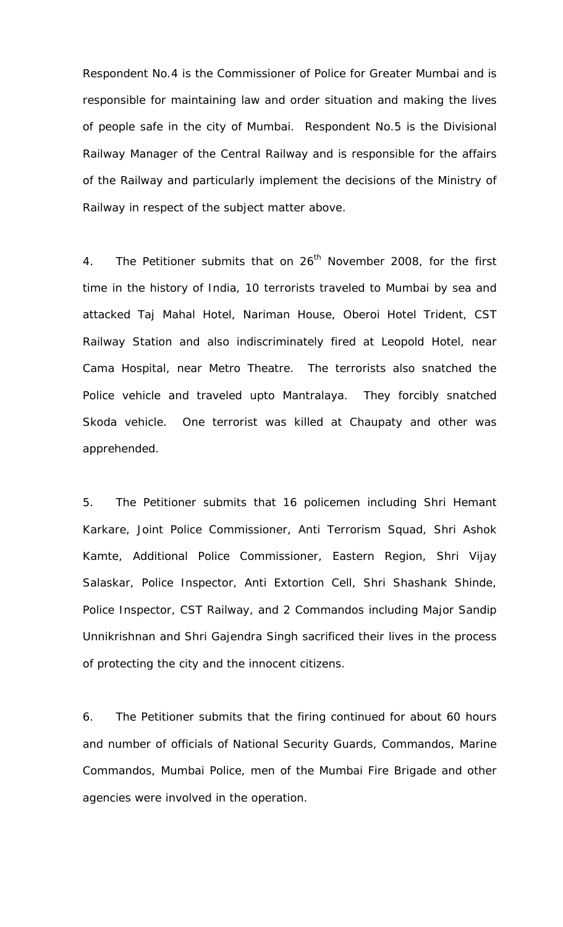Respondent No.4 is the Commissioner of Police for Greater Mumbai and is responsible for maintaining law and order situation and making the lives of people safe in the city of Mumbai. Respondent No.5 is the Divisional Railway Manager of the Central Railway and is responsible for the affairs of the Railway and particularly implement the decisions of the Ministry of Railway in respect of the subject matter above.

4. The Petitioner submits that on 26<sup>th</sup> November 2008, for the first time in the history of India, 10 terrorists traveled to Mumbai by sea and attacked Taj Mahal Hotel, Nariman House, Oberoi Hotel Trident, CST Railway Station and also indiscriminately fired at Leopold Hotel, near Cama Hospital, near Metro Theatre. The terrorists also snatched the Police vehicle and traveled upto Mantralaya. They forcibly snatched Skoda vehicle. One terrorist was killed at Chaupaty and other was apprehended.

5. The Petitioner submits that 16 policemen including Shri Hemant Karkare, Joint Police Commissioner, Anti Terrorism Squad, Shri Ashok Kamte, Additional Police Commissioner, Eastern Region, Shri Vijay Salaskar, Police Inspector, Anti Extortion Cell, Shri Shashank Shinde, Police Inspector, CST Railway, and 2 Commandos including Major Sandip Unnikrishnan and Shri Gajendra Singh sacrificed their lives in the process of protecting the city and the innocent citizens.

6. The Petitioner submits that the firing continued for about 60 hours and number of officials of National Security Guards, Commandos, Marine Commandos, Mumbai Police, men of the Mumbai Fire Brigade and other agencies were involved in the operation.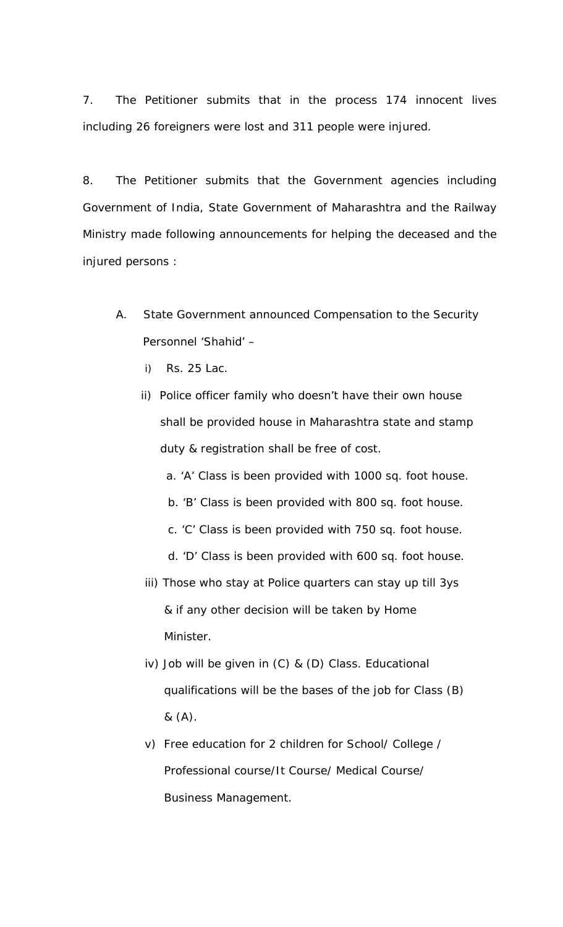7. The Petitioner submits that in the process 174 innocent lives including 26 foreigners were lost and 311 people were injured.

8. The Petitioner submits that the Government agencies including Government of India, State Government of Maharashtra and the Railway Ministry made following announcements for helping the deceased and the injured persons :

- A. State Government announced Compensation to the Security Personnel 'Shahid' –
	- i) Rs. 25 Lac.
	- ii) Police officer family who doesn't have their own house shall be provided house in Maharashtra state and stamp duty & registration shall be free of cost.
		- a. 'A' Class is been provided with 1000 sq. foot house.
		- b. 'B' Class is been provided with 800 sq. foot house.
		- c. 'C' Class is been provided with 750 sq. foot house.
		- d. 'D' Class is been provided with 600 sq. foot house.
	- iii) Those who stay at Police quarters can stay up till 3ys & if any other decision will be taken by Home Minister.
	- iv) Job will be given in (C) & (D) Class. Educational qualifications will be the bases of the job for Class (B) & (A).
	- v) Free education for 2 children for School/ College / Professional course/It Course/ Medical Course/ Business Management.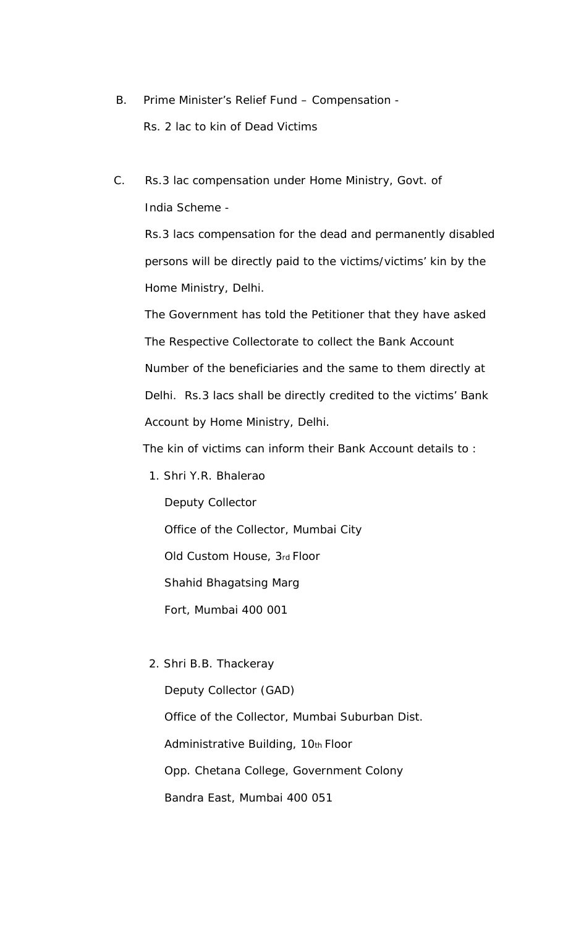- B. Prime Minister's Relief Fund Compensation Rs. 2 lac to kin of Dead Victims
- C. Rs.3 lac compensation under Home Ministry, Govt. of India Scheme -

 Rs.3 lacs compensation for the dead and permanently disabled persons will be directly paid to the victims/victims' kin by the Home Ministry, Delhi.

 The Government has told the Petitioner that they have asked The Respective Collectorate to collect the Bank Account Number of the beneficiaries and the same to them directly at Delhi. Rs.3 lacs shall be directly credited to the victims' Bank Account by Home Ministry, Delhi.

The kin of victims can inform their Bank Account details to :

1. Shri Y.R. Bhalerao

 Deputy Collector Office of the Collector, Mumbai City Old Custom House, 3rd Floor Shahid Bhagatsing Marg Fort, Mumbai 400 001

2. Shri B.B. Thackeray

 Deputy Collector (GAD) Office of the Collector, Mumbai Suburban Dist. Administrative Building, 10th Floor Opp. Chetana College, Government Colony Bandra East, Mumbai 400 051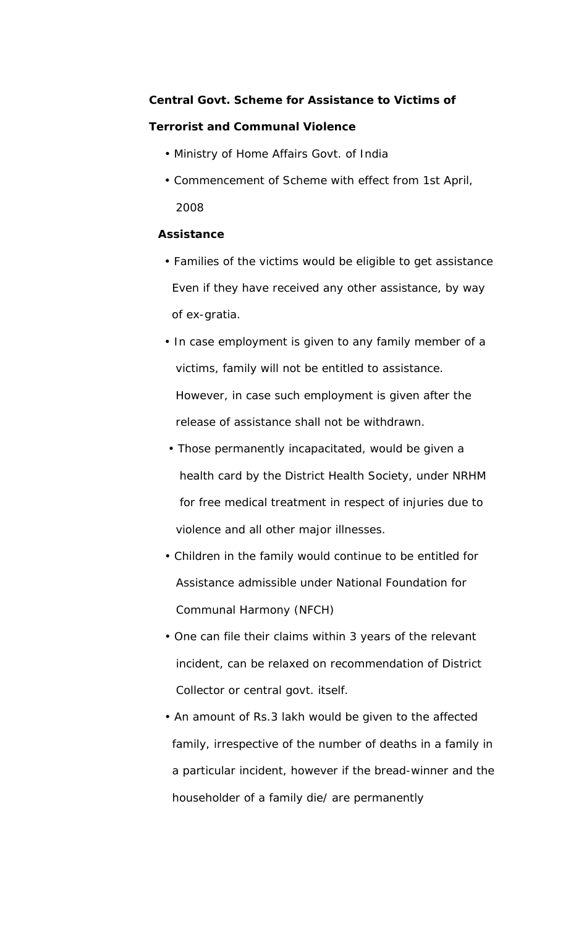#### **Central Govt. Scheme for Assistance to Victims of**

#### **Terrorist and Communal Violence**

- Ministry of Home Affairs Govt. of India
- Commencement of Scheme with effect from 1st April, 2008

#### **Assistance**

- Families of the victims would be eligible to get assistance Even if they have received any other assistance, by way of ex-gratia.
- In case employment is given to any family member of a victims, family will not be entitled to assistance. However, in case such employment is given after the release of assistance shall not be withdrawn.
- Those permanently incapacitated, would be given a health card by the District Health Society, under NRHM for free medical treatment in respect of injuries due to violence and all other major illnesses.
- Children in the family would continue to be entitled for Assistance admissible under National Foundation for Communal Harmony (NFCH)
- One can file their claims within 3 years of the relevant incident, can be relaxed on recommendation of District Collector or central govt. itself.
- An amount of Rs.3 lakh would be given to the affected family, irrespective of the number of deaths in a family in a particular incident, however if the bread-winner and the householder of a family die/ are permanently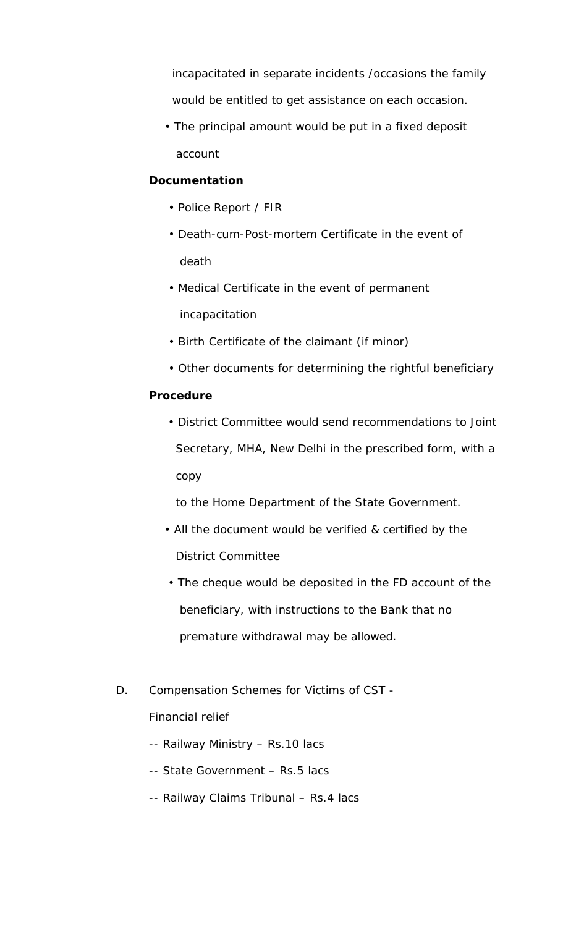incapacitated in separate incidents /occasions the family would be entitled to get assistance on each occasion.

 • The principal amount would be put in a fixed deposit account

## **Documentation**

- Police Report / FIR
- Death-cum-Post-mortem Certificate in the event of death
- Medical Certificate in the event of permanent incapacitation
- Birth Certificate of the claimant (if minor)
- Other documents for determining the rightful beneficiary

#### **Procedure**

 • District Committee would send recommendations to Joint Secretary, MHA, New Delhi in the prescribed form, with a copy

to the Home Department of the State Government.

- All the document would be verified & certified by the District Committee
- The cheque would be deposited in the FD account of the beneficiary, with instructions to the Bank that no premature withdrawal may be allowed.
- D. Compensation Schemes for Victims of CST -

Financial relief

- -- Railway Ministry Rs.10 lacs
- -- State Government Rs.5 lacs
- -- Railway Claims Tribunal Rs.4 lacs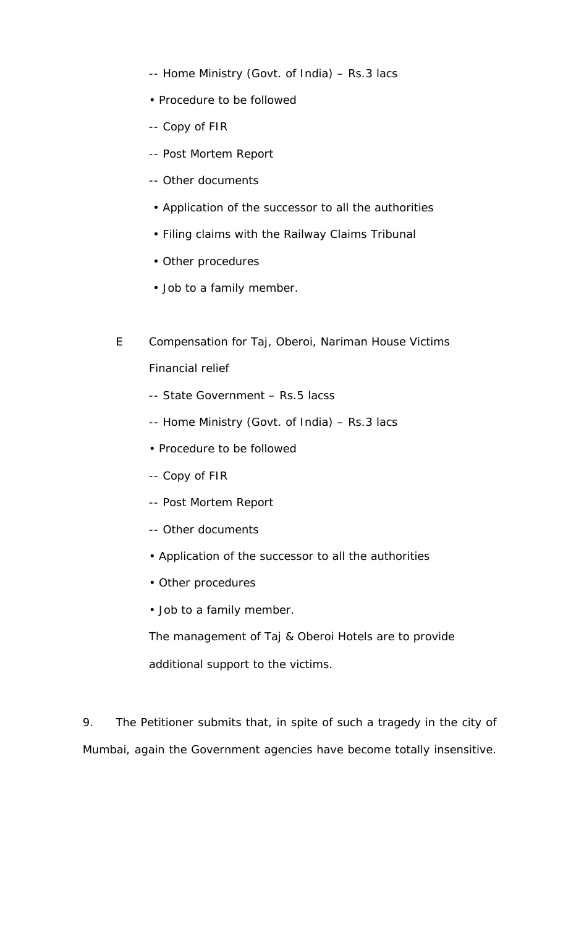- -- Home Ministry (Govt. of India) Rs.3 lacs
- Procedure to be followed
- -- Copy of FIR
- -- Post Mortem Report
- -- Other documents
- Application of the successor to all the authorities
- Filing claims with the Railway Claims Tribunal
- Other procedures
- Job to a family member.
- E Compensation for Taj, Oberoi, Nariman House Victims Financial relief
	- -- State Government Rs.5 lacss
	- -- Home Ministry (Govt. of India) Rs.3 lacs
	- Procedure to be followed
	- -- Copy of FIR
	- -- Post Mortem Report
	- -- Other documents
	- Application of the successor to all the authorities
	- Other procedures
	- Job to a family member.
	- The management of Taj & Oberoi Hotels are to provide additional support to the victims.

9. The Petitioner submits that, in spite of such a tragedy in the city of Mumbai, again the Government agencies have become totally insensitive.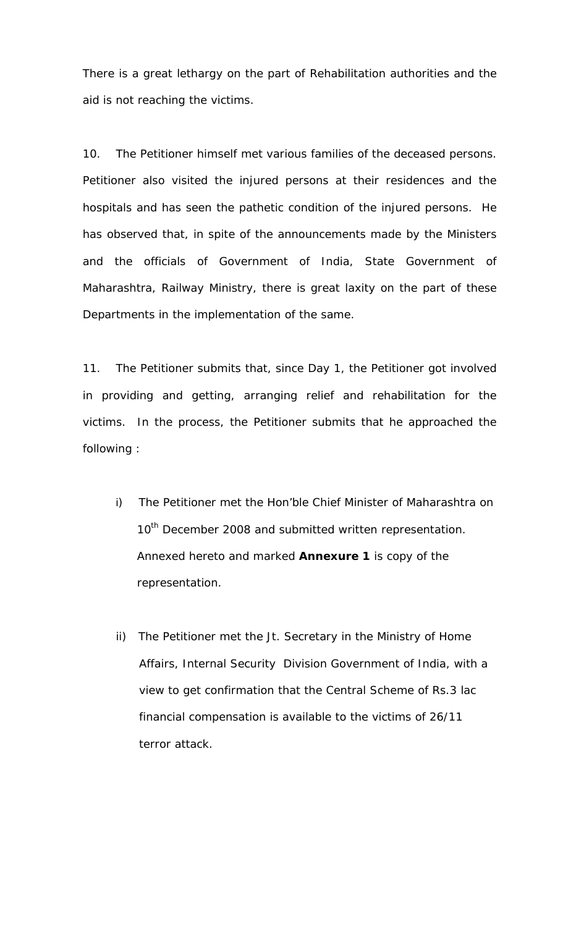There is a great lethargy on the part of Rehabilitation authorities and the aid is not reaching the victims.

10. The Petitioner himself met various families of the deceased persons. Petitioner also visited the injured persons at their residences and the hospitals and has seen the pathetic condition of the injured persons. He has observed that, in spite of the announcements made by the Ministers and the officials of Government of India, State Government of Maharashtra, Railway Ministry, there is great laxity on the part of these Departments in the implementation of the same.

11. The Petitioner submits that, since Day 1, the Petitioner got involved in providing and getting, arranging relief and rehabilitation for the victims. In the process, the Petitioner submits that he approached the following :

- i) The Petitioner met the Hon'ble Chief Minister of Maharashtra on 10<sup>th</sup> December 2008 and submitted written representation. Annexed hereto and marked **Annexure 1** is copy of the representation.
- ii) The Petitioner met the Jt. Secretary in the Ministry of Home Affairs, Internal Security Division Government of India, with a view to get confirmation that the Central Scheme of Rs.3 lac financial compensation is available to the victims of 26/11 terror attack.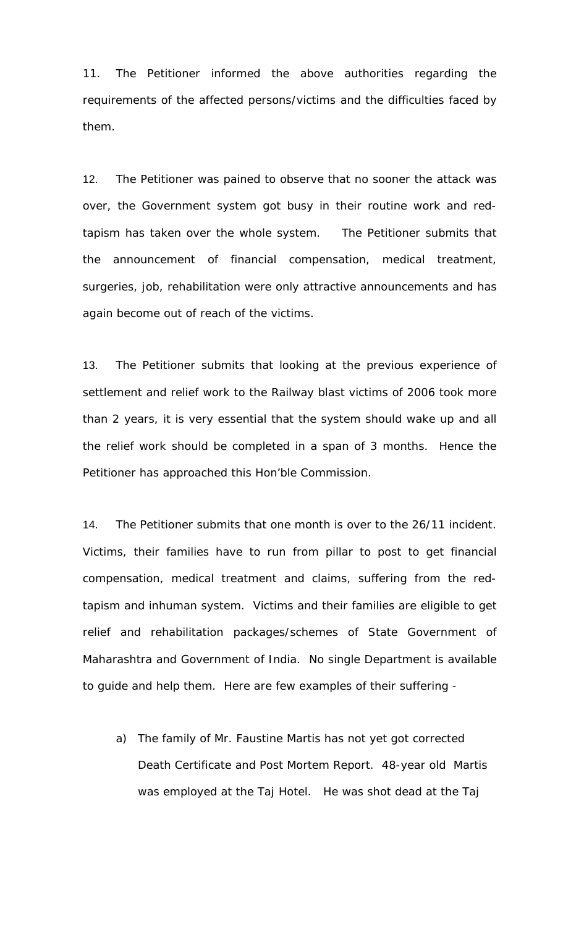11. The Petitioner informed the above authorities regarding the requirements of the affected persons/victims and the difficulties faced by them.

12. The Petitioner was pained to observe that no sooner the attack was over, the Government system got busy in their routine work and redtapism has taken over the whole system. The Petitioner submits that the announcement of financial compensation, medical treatment, surgeries, job, rehabilitation were only attractive announcements and has again become out of reach of the victims.

13. The Petitioner submits that looking at the previous experience of settlement and relief work to the Railway blast victims of 2006 took more than 2 years, it is very essential that the system should wake up and all the relief work should be completed in a span of 3 months. Hence the Petitioner has approached this Hon'ble Commission.

14. The Petitioner submits that one month is over to the 26/11 incident. Victims, their families have to run from pillar to post to get financial compensation, medical treatment and claims, suffering from the redtapism and inhuman system. Victims and their families are eligible to get relief and rehabilitation packages/schemes of State Government of Maharashtra and Government of India. No single Department is available to guide and help them. Here are few examples of their suffering -

a) The family of Mr. Faustine Martis has not yet got corrected Death Certificate and Post Mortem Report. 48-year old Martis was employed at the Taj Hotel. He was shot dead at the Taj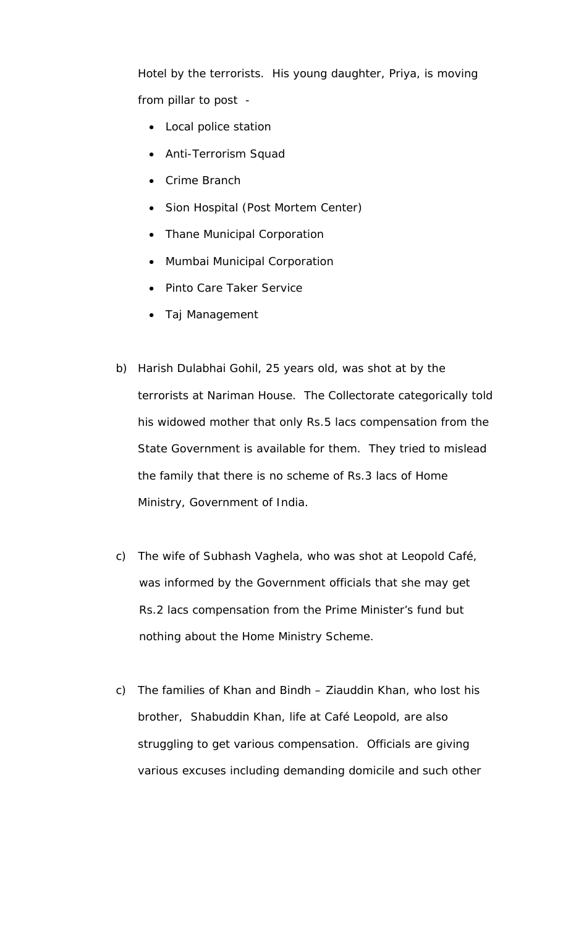Hotel by the terrorists. His young daughter, Priya, is moving from pillar to post -

- Local police station
- Anti-Terrorism Squad
- Crime Branch
- Sion Hospital (Post Mortem Center)
- Thane Municipal Corporation
- Mumbai Municipal Corporation
- Pinto Care Taker Service
- Taj Management
- b) Harish Dulabhai Gohil, 25 years old, was shot at by the terrorists at Nariman House. The Collectorate categorically told his widowed mother that only Rs.5 lacs compensation from the State Government is available for them. They tried to mislead the family that there is no scheme of Rs.3 lacs of Home Ministry, Government of India.
- c) The wife of Subhash Vaghela, who was shot at Leopold Café, was informed by the Government officials that she may get Rs.2 lacs compensation from the Prime Minister's fund but nothing about the Home Ministry Scheme.
- c) The families of Khan and Bindh Ziauddin Khan, who lost his brother, Shabuddin Khan, life at Café Leopold, are also struggling to get various compensation. Officials are giving various excuses including demanding domicile and such other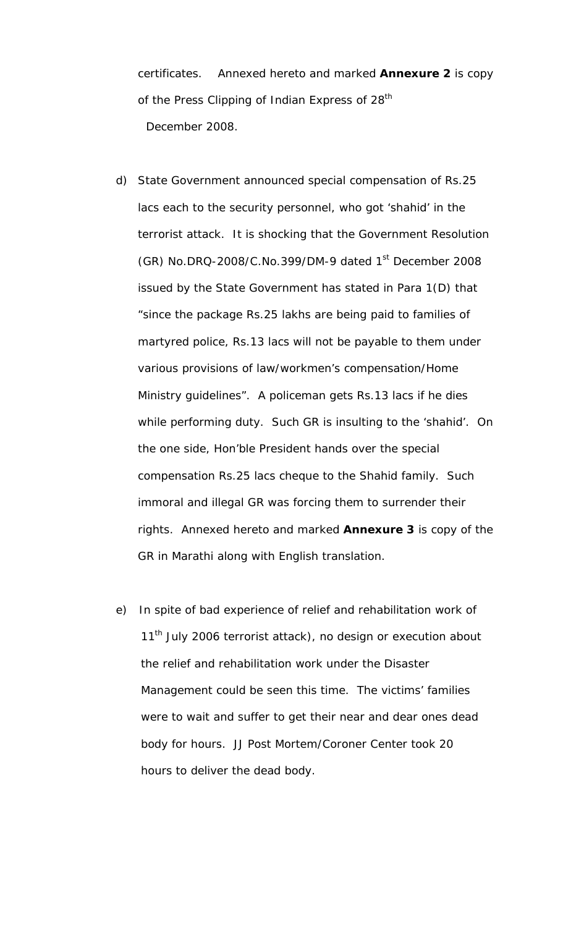certificates. Annexed hereto and marked **Annexure 2** is copy of the Press Clipping of Indian Express of 28<sup>th</sup> December 2008.

- d) State Government announced special compensation of Rs.25 lacs each to the security personnel, who got 'shahid' in the terrorist attack. It is shocking that the Government Resolution (GR) No.DRQ-2008/C.No.399/DM-9 dated  $1<sup>st</sup>$  December 2008 issued by the State Government has stated in Para 1(D) that "since the package Rs.25 lakhs are being paid to families of martyred police, Rs.13 lacs will not be payable to them under various provisions of law/workmen's compensation/Home Ministry guidelines". A policeman gets Rs.13 lacs if he dies while performing duty. Such GR is insulting to the 'shahid'. On the one side, Hon'ble President hands over the special compensation Rs.25 lacs cheque to the Shahid family. Such immoral and illegal GR was forcing them to surrender their rights. Annexed hereto and marked **Annexure 3** is copy of the GR in Marathi along with English translation.
- e) In spite of bad experience of relief and rehabilitation work of 11<sup>th</sup> July 2006 terrorist attack), no design or execution about the relief and rehabilitation work under the Disaster Management could be seen this time. The victims' families were to wait and suffer to get their near and dear ones dead body for hours. JJ Post Mortem/Coroner Center took 20 hours to deliver the dead body.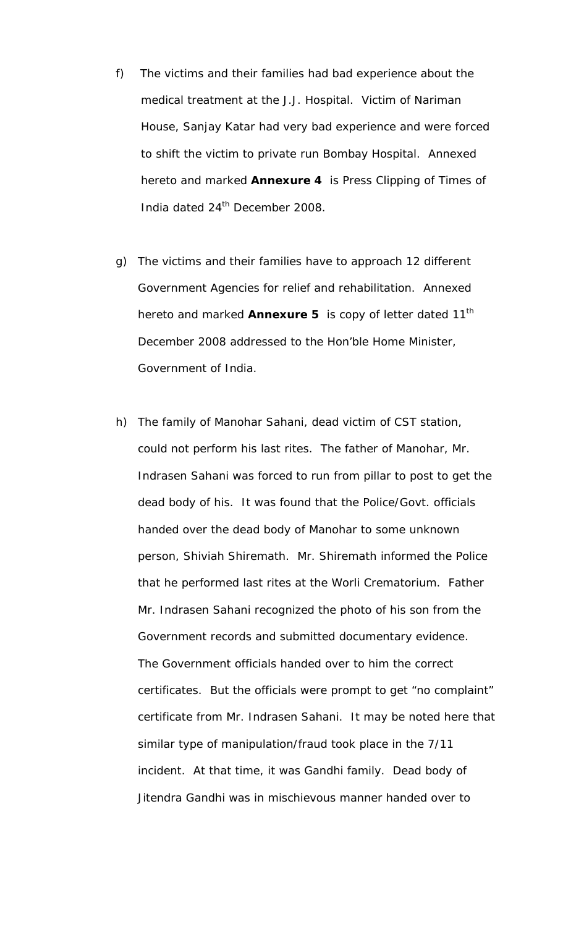- f) The victims and their families had bad experience about the medical treatment at the J.J. Hospital. Victim of Nariman House, Sanjay Katar had very bad experience and were forced to shift the victim to private run Bombay Hospital. Annexed hereto and marked **Annexure 4** is Press Clipping of Times of India dated 24<sup>th</sup> December 2008.
- g) The victims and their families have to approach 12 different Government Agencies for relief and rehabilitation. Annexed hereto and marked **Annexure 5** is copy of letter dated 11<sup>th</sup> December 2008 addressed to the Hon'ble Home Minister, Government of India.
- h) The family of Manohar Sahani, dead victim of CST station, could not perform his last rites. The father of Manohar, Mr. Indrasen Sahani was forced to run from pillar to post to get the dead body of his. It was found that the Police/Govt. officials handed over the dead body of Manohar to some unknown person, Shiviah Shiremath. Mr. Shiremath informed the Police that he performed last rites at the Worli Crematorium. Father Mr. Indrasen Sahani recognized the photo of his son from the Government records and submitted documentary evidence. The Government officials handed over to him the correct certificates. But the officials were prompt to get "no complaint" certificate from Mr. Indrasen Sahani. It may be noted here that similar type of manipulation/fraud took place in the 7/11 incident. At that time, it was Gandhi family. Dead body of Jitendra Gandhi was in mischievous manner handed over to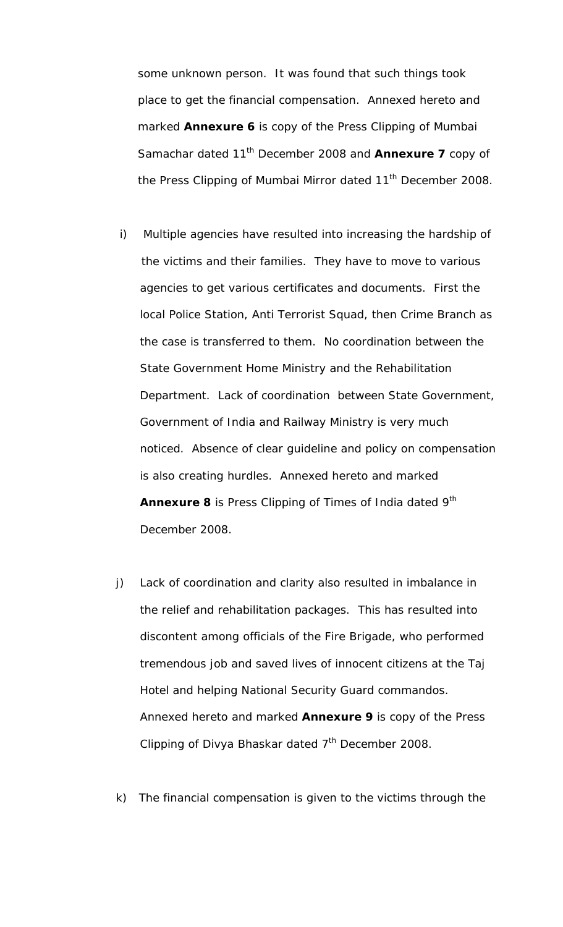some unknown person. It was found that such things took place to get the financial compensation. Annexed hereto and marked **Annexure 6** is copy of the Press Clipping of Mumbai Samachar dated 11th December 2008 and **Annexure 7** copy of the Press Clipping of Mumbai Mirror dated 11<sup>th</sup> December 2008.

- i) Multiple agencies have resulted into increasing the hardship of the victims and their families. They have to move to various agencies to get various certificates and documents. First the local Police Station, Anti Terrorist Squad, then Crime Branch as the case is transferred to them. No coordination between the State Government Home Ministry and the Rehabilitation Department. Lack of coordination between State Government, Government of India and Railway Ministry is very much noticed. Absence of clear guideline and policy on compensation is also creating hurdles. Annexed hereto and marked **Annexure 8** is Press Clipping of Times of India dated 9<sup>th</sup> December 2008.
- j) Lack of coordination and clarity also resulted in imbalance in the relief and rehabilitation packages. This has resulted into discontent among officials of the Fire Brigade, who performed tremendous job and saved lives of innocent citizens at the Taj Hotel and helping National Security Guard commandos. Annexed hereto and marked **Annexure 9** is copy of the Press Clipping of Divya Bhaskar dated  $7<sup>th</sup>$  December 2008.
- k) The financial compensation is given to the victims through the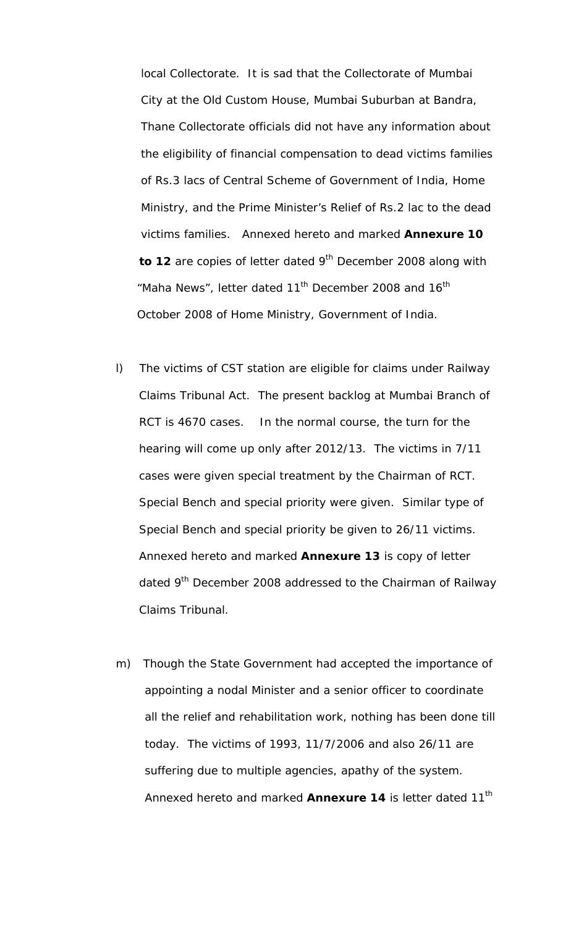local Collectorate. It is sad that the Collectorate of Mumbai City at the Old Custom House, Mumbai Suburban at Bandra, Thane Collectorate officials did not have any information about the eligibility of financial compensation to dead victims families of Rs.3 lacs of Central Scheme of Government of India, Home Ministry, and the Prime Minister's Relief of Rs.2 lac to the dead victims families. Annexed hereto and marked **Annexure 10**  to 12 are copies of letter dated 9<sup>th</sup> December 2008 along with "Maha News", letter dated 11<sup>th</sup> December 2008 and 16<sup>th</sup> October 2008 of Home Ministry, Government of India.

- l) The victims of CST station are eligible for claims under Railway Claims Tribunal Act. The present backlog at Mumbai Branch of RCT is 4670 cases. In the normal course, the turn for the hearing will come up only after 2012/13. The victims in 7/11 cases were given special treatment by the Chairman of RCT. Special Bench and special priority were given. Similar type of Special Bench and special priority be given to 26/11 victims. Annexed hereto and marked **Annexure 13** is copy of letter dated 9<sup>th</sup> December 2008 addressed to the Chairman of Railway Claims Tribunal.
- m) Though the State Government had accepted the importance of appointing a nodal Minister and a senior officer to coordinate all the relief and rehabilitation work, nothing has been done till today. The victims of 1993, 11/7/2006 and also 26/11 are suffering due to multiple agencies, apathy of the system. Annexed hereto and marked **Annexure 14** is letter dated 11<sup>th</sup>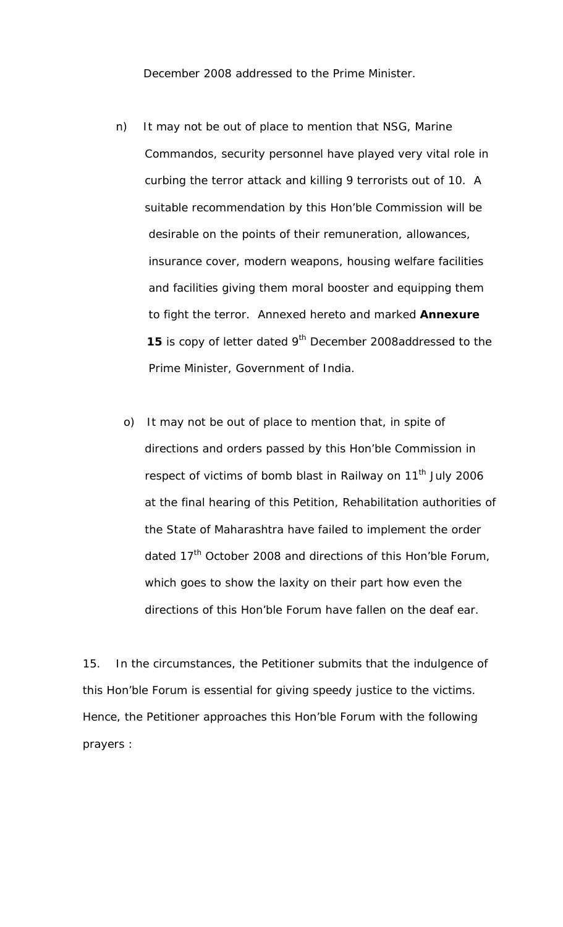December 2008 addressed to the Prime Minister.

- n) It may not be out of place to mention that NSG, Marine Commandos, security personnel have played very vital role in curbing the terror attack and killing 9 terrorists out of 10. A suitable recommendation by this Hon'ble Commission will be desirable on the points of their remuneration, allowances, insurance cover, modern weapons, housing welfare facilities and facilities giving them moral booster and equipping them to fight the terror. Annexed hereto and marked **Annexure 15** is copy of letter dated 9<sup>th</sup> December 2008addressed to the Prime Minister, Government of India.
	- o) It may not be out of place to mention that, in spite of directions and orders passed by this Hon'ble Commission in respect of victims of bomb blast in Railway on 11<sup>th</sup> July 2006 at the final hearing of this Petition, Rehabilitation authorities of the State of Maharashtra have failed to implement the order dated  $17<sup>th</sup>$  October 2008 and directions of this Hon'ble Forum, which goes to show the laxity on their part how even the directions of this Hon'ble Forum have fallen on the deaf ear.

15. In the circumstances, the Petitioner submits that the indulgence of this Hon'ble Forum is essential for giving speedy justice to the victims. Hence, the Petitioner approaches this Hon'ble Forum with the following prayers :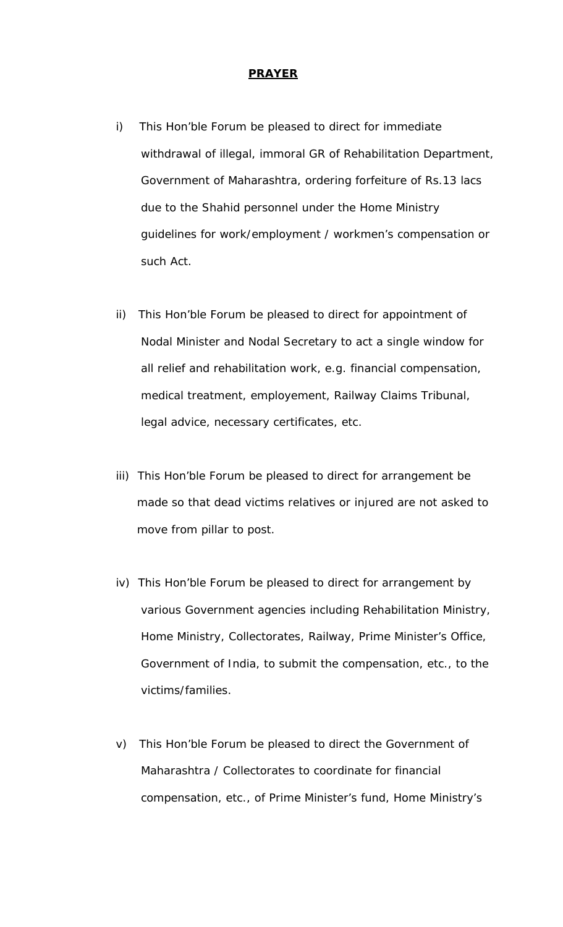#### **PRAYER**

- i) This Hon'ble Forum be pleased to direct for immediate withdrawal of illegal, immoral GR of Rehabilitation Department, Government of Maharashtra, ordering forfeiture of Rs.13 lacs due to the Shahid personnel under the Home Ministry guidelines for work/employment / workmen's compensation or such Act.
- ii) This Hon'ble Forum be pleased to direct for appointment of Nodal Minister and Nodal Secretary to act a single window for all relief and rehabilitation work, e.g. financial compensation, medical treatment, employement, Railway Claims Tribunal, legal advice, necessary certificates, etc.
- iii) This Hon'ble Forum be pleased to direct for arrangement be made so that dead victims relatives or injured are not asked to move from pillar to post.
- iv) This Hon'ble Forum be pleased to direct for arrangement by various Government agencies including Rehabilitation Ministry, Home Ministry, Collectorates, Railway, Prime Minister's Office, Government of India, to submit the compensation, etc., to the victims/families.
- v) This Hon'ble Forum be pleased to direct the Government of Maharashtra / Collectorates to coordinate for financial compensation, etc., of Prime Minister's fund, Home Ministry's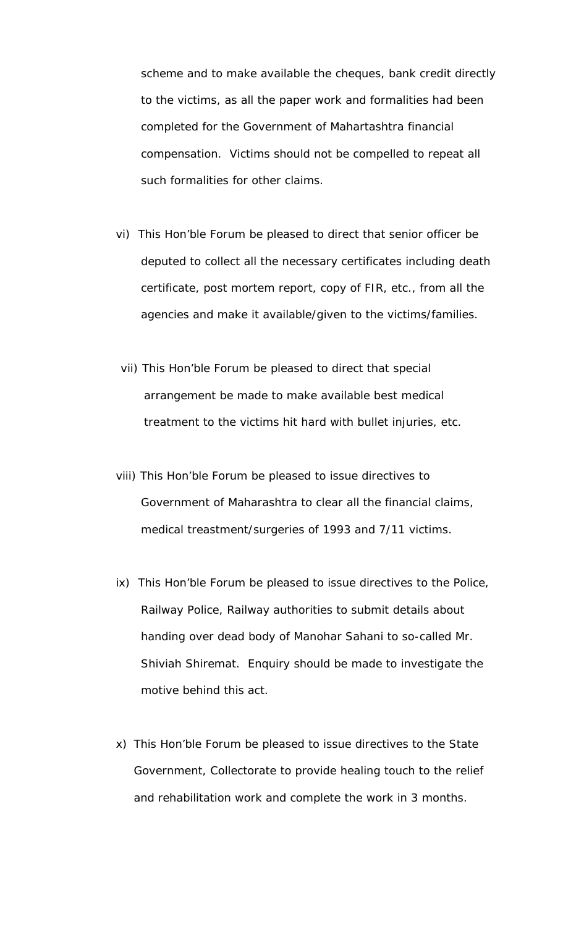scheme and to make available the cheques, bank credit directly to the victims, as all the paper work and formalities had been completed for the Government of Mahartashtra financial compensation. Victims should not be compelled to repeat all such formalities for other claims.

- vi) This Hon'ble Forum be pleased to direct that senior officer be deputed to collect all the necessary certificates including death certificate, post mortem report, copy of FIR, etc., from all the agencies and make it available/given to the victims/families.
- vii) This Hon'ble Forum be pleased to direct that special arrangement be made to make available best medical treatment to the victims hit hard with bullet injuries, etc.
- viii) This Hon'ble Forum be pleased to issue directives to Government of Maharashtra to clear all the financial claims, medical treastment/surgeries of 1993 and 7/11 victims.
- ix) This Hon'ble Forum be pleased to issue directives to the Police, Railway Police, Railway authorities to submit details about handing over dead body of Manohar Sahani to so-called Mr. Shiviah Shiremat. Enquiry should be made to investigate the motive behind this act.
- x) This Hon'ble Forum be pleased to issue directives to the State Government, Collectorate to provide healing touch to the relief and rehabilitation work and complete the work in 3 months.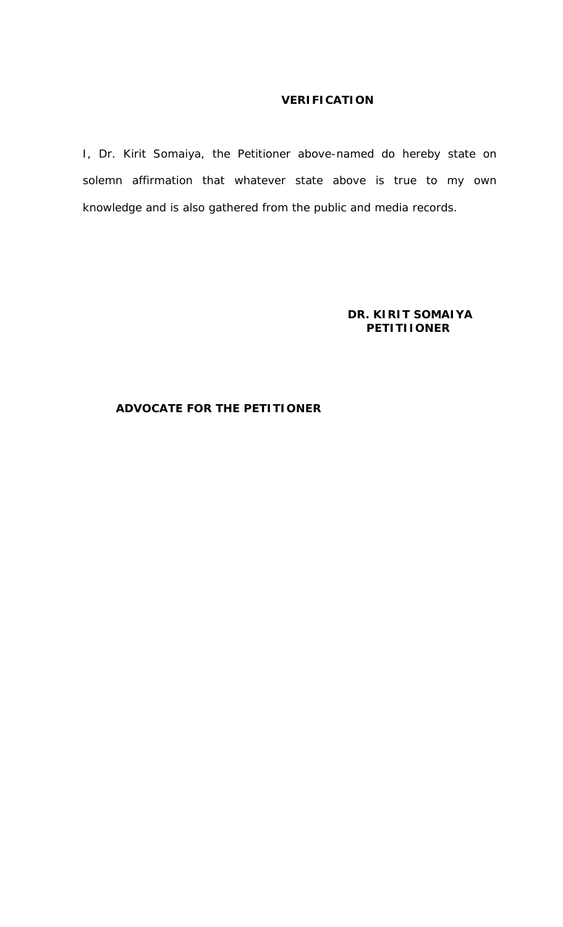## **VERIFICATION**

I, Dr. Kirit Somaiya, the Petitioner above-named do hereby state on solemn affirmation that whatever state above is true to my own knowledge and is also gathered from the public and media records.

## **DR. KIRIT SOMAIYA PETITIIONER**

## **ADVOCATE FOR THE PETITIONER**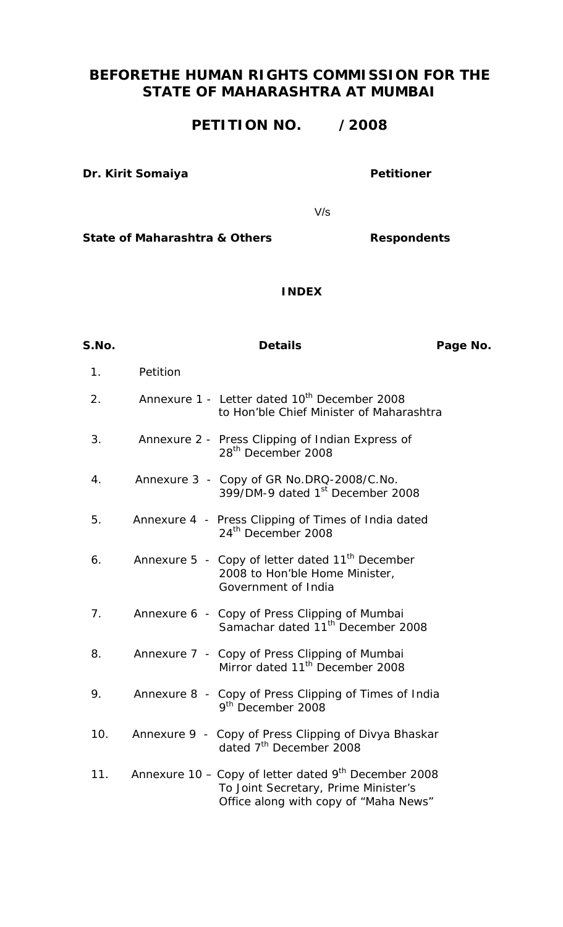# **BEFORETHE HUMAN RIGHTS COMMISSION FOR THE STATE OF MAHARASHTRA AT MUMBAI**

# **PETITION NO. /2008**

#### **Dr. Kirit Somaiya Petitioner**

V/s

State of Maharashtra & Others **Respondents** 

#### **INDEX**

| S.No.          | <b>Details</b>                                                                                                                          | Page No. |
|----------------|-----------------------------------------------------------------------------------------------------------------------------------------|----------|
| 1.             | Petition                                                                                                                                |          |
| 2.             | Annexure 1 - Letter dated 10 <sup>th</sup> December 2008<br>to Hon'ble Chief Minister of Maharashtra                                    |          |
| 3.             | Annexure 2 - Press Clipping of Indian Express of<br>28 <sup>th</sup> December 2008                                                      |          |
| 4.             | Annexure 3 - Copy of GR No.DRQ-2008/C.No.<br>399/DM-9 dated 1 <sup>st</sup> December 2008                                               |          |
| 5.             | Annexure 4 - Press Clipping of Times of India dated<br>24 <sup>th</sup> December 2008                                                   |          |
| 6.             | Annexure 5 - Copy of letter dated 11 <sup>th</sup> December<br>2008 to Hon'ble Home Minister,<br>Government of India                    |          |
| 7 <sub>1</sub> | Annexure 6 - Copy of Press Clipping of Mumbai<br>Samachar dated 11 <sup>th</sup> December 2008                                          |          |
| 8.             | Annexure 7 - Copy of Press Clipping of Mumbai<br>Mirror dated 11 <sup>th</sup> December 2008                                            |          |
| 9.             | Annexure 8 - Copy of Press Clipping of Times of India<br>9 <sup>th</sup> December 2008                                                  |          |
| 10.            | Annexure 9 - Copy of Press Clipping of Divya Bhaskar<br>dated 7 <sup>th</sup> December 2008                                             |          |
| 11.            | Annexure 10 – Copy of letter dated $9th$ December 2008<br>To Joint Secretary, Prime Minister's<br>Office along with copy of "Maha News" |          |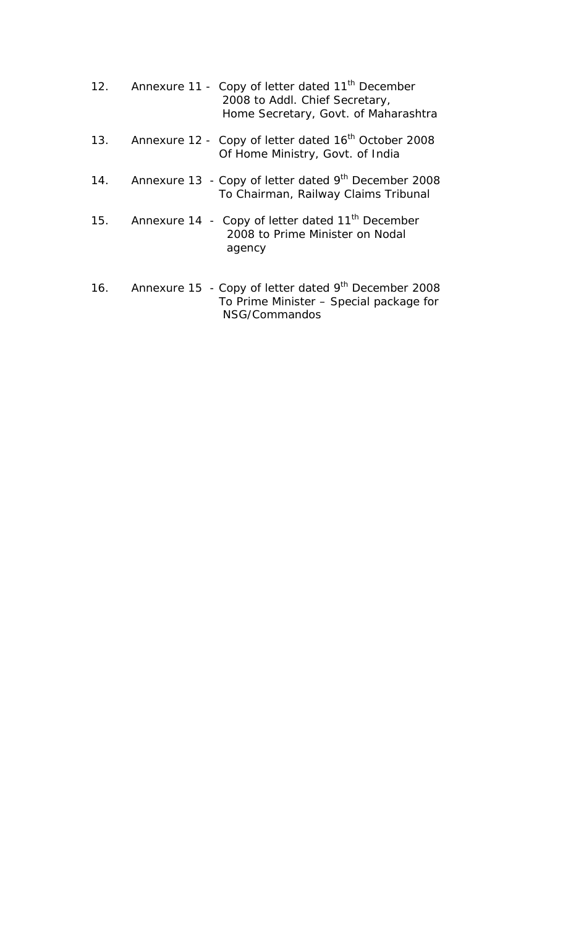|     | 12. Annexure 11 - Copy of letter dated 11 <sup>th</sup> December<br>2008 to Addl. Chief Secretary,<br>Home Secretary, Govt. of Maharashtra |
|-----|--------------------------------------------------------------------------------------------------------------------------------------------|
|     | 13. Annexure 12 - Copy of letter dated 16 <sup>th</sup> October 2008<br>Of Home Ministry, Govt. of India                                   |
|     | 14. Annexure 13 - Copy of letter dated 9 <sup>th</sup> December 2008<br>To Chairman, Railway Claims Tribunal                               |
|     | 15. Annexure 14 - Copy of letter dated 11 <sup>th</sup> December<br>2008 to Prime Minister on Nodal<br>agency                              |
| 16. | Annexure 15 - Copy of letter dated $9th$ December 2008<br>To Prime Minister - Special package for<br>NSG/Commandos                         |